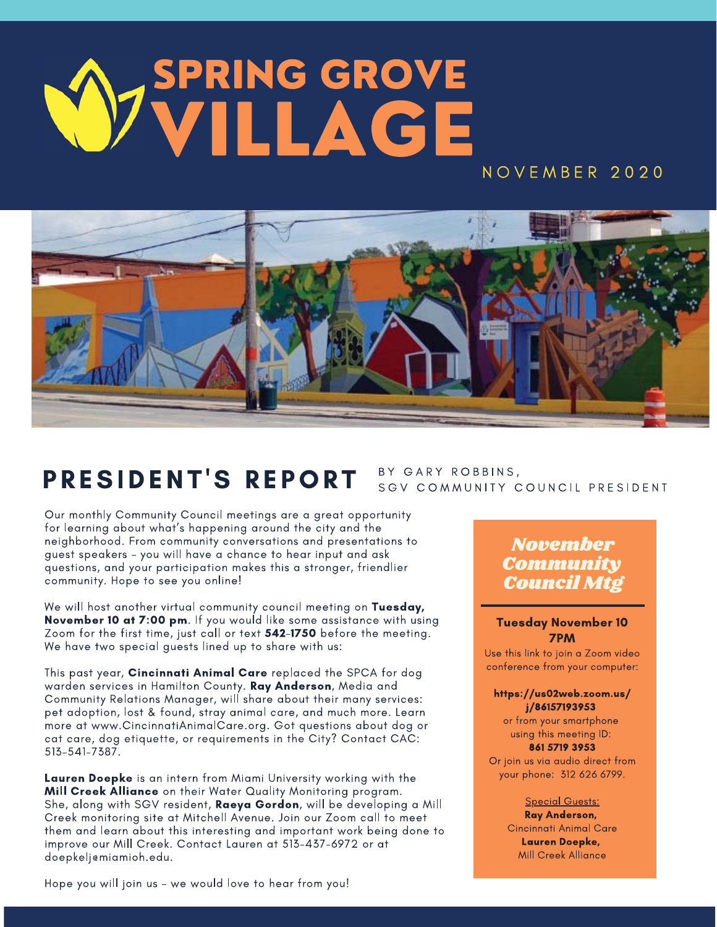# SPRING GROVE<br>VILLAGE

# NOVEMBER 2020



# PRESIDENT'S REPORT

BY GARY ROBBINS, SGV COMMUNITY COUNCIL PRESIDENT

Our monthly Community Council meetings are a great opportunity for learning about what's happening around the city and the neighborhood. From community conversations and presentations to guest speakers - you will have a chance to hear input and ask questions, and your participation makes this a stronger, friendlier community. Hope to see you online!

We will host another virtual community council meeting on Tuesday, November 10 at 7:00 pm. If you would like some assistance with using Zoom for the first time, just call or text 542-1750 before the meeting. We have two special guests lined up to share with us:

This past year, Cincinnati Animal Care replaced the SPCA for dog warden services in Hamilton County. Ray Anderson, Media and Community Relations Manager, will share about their many services: pet adoption, lost & found, stray animal care, and much more. Learn more at www.CincinnatiAnimalCare.org. Got questions about dog or cat care, dog etiquette, or requirements in the City? Contact CAC: 513-541-7387.

Lauren Doepke is an intern from Miami University working with the Mill Creek Alliance on their Water Quality Monitoring program. She, along with SGV resident, Raeya Gordon, will be developing a Mill Creek monitoring site at Mitchell Avenue. Join our Zoom call to meet them and learn about this interesting and important work being done to improve our Mill Creek. Contact Lauren at 513-437-6972 or at doepkeljemiamioh.edu.

### **November Community Council Mtg**

#### **Tuesday November 10 7PM**

Use this link to join a Zoom video conference from your computer:

#### https://us02web.zoom.us/ j/86157193953

or from your smartphone using this meeting ID: 861 5719 3953

Or join us via audio direct from your phone: 312 626 6799.

#### **Special Guests:**

**Ray Anderson,** Cincinnati Animal Care Lauren Doepke, Mill Creek Alliance

Hope you will join us - we would love to hear from you!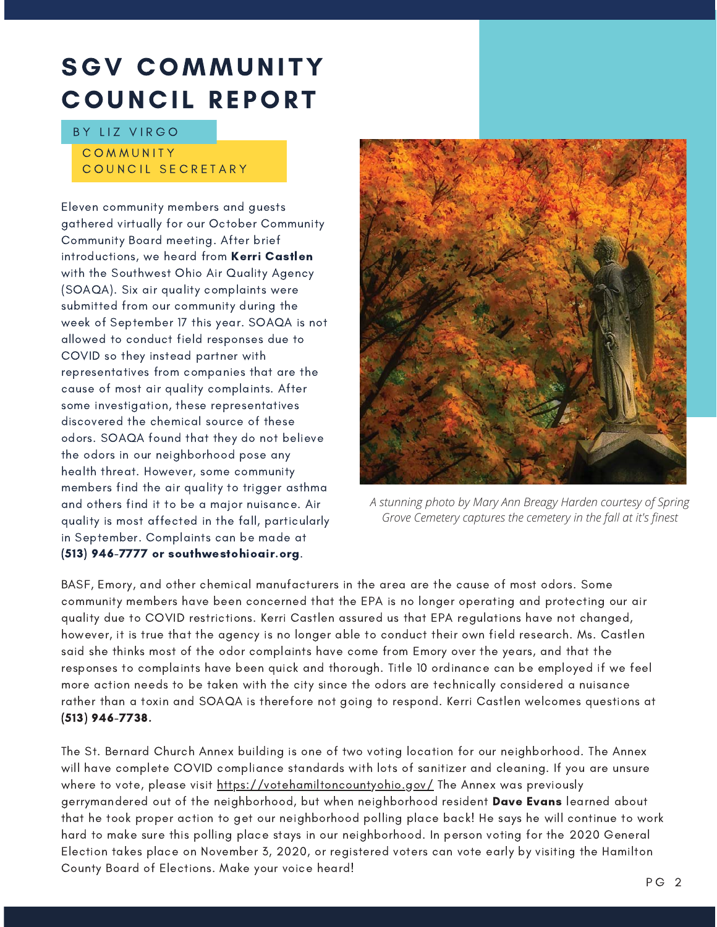# **SGV COMMUNITY COUNCIL REPORT**

#### BY LIZ VIRGO COMMUNITY COUNCIL SECRETARY

Eleven community members and guests gathered virtually for our October Community Community Board meeting. After brief introductions, we heard from Kerri Castlen with the Southwest Ohio Air Quality Agency (SOAQA). Six air quality complaints were submitted from our community during the week of September 17 this year. SOAQA is not allowed to conduct field responses due to COVID so they instead partner with representatives from companies that are the cause of most air quality complaints. After some investigation, these representatives discovered the chemical source of these odors. SOAQA found that they do not believe the odors in our neighborhood pose any health threat. However, some community members find the air quality to trigger asthma and others find it to be a major nuisance. Air quality is most affected in the fall, particularly in September. Complaints can be made at (513) 946-7777 or southwestohioair.org.



A stunning photo by Mary Ann Breagy Harden courtesy of Spring Grove Cemetery captures the cemetery in the fall at it's finest

BASF, Emory, and other chemical manufacturers in the area are the cause of most odors. Some community members have been concerned that the EPA is no longer operating and protecting our air quality due to COVID restrictions. Kerri Castlen assured us that EPA regulations have not changed, however, it is true that the agency is no longer able to conduct their own field research. Ms. Castlen said she thinks most of the odor complaints have come from Emory over the years, and that the responses to complaints have been quick and thorough. Title 10 ordinance can be employed if we feel more action needs to be taken with the city since the odors are technically considered a nuisance rather than a toxin and SOAQA is therefore not going to respond. Kerri Castlen welcomes questions at  $(513)$  946-7738.

The St. Bernard Church Annex building is one of two voting location for our neighborhood. The Annex will have complete COVID compliance standards with lots of sanitizer and cleaning. If you are unsure where to vote, please visit https://votehamiltoncountyohio.gov/ The Annex was previously gerrymandered out of the neighborhood, but when neighborhood resident Dave Evans learned about that he took proper action to get our neighborhood polling place back! He says he will continue to work hard to make sure this polling place stays in our neighborhood. In person voting for the 2020 General Election takes place on November 3, 2020, or registered voters can vote early by visiting the Hamilton County Board of Elections. Make your voice heard!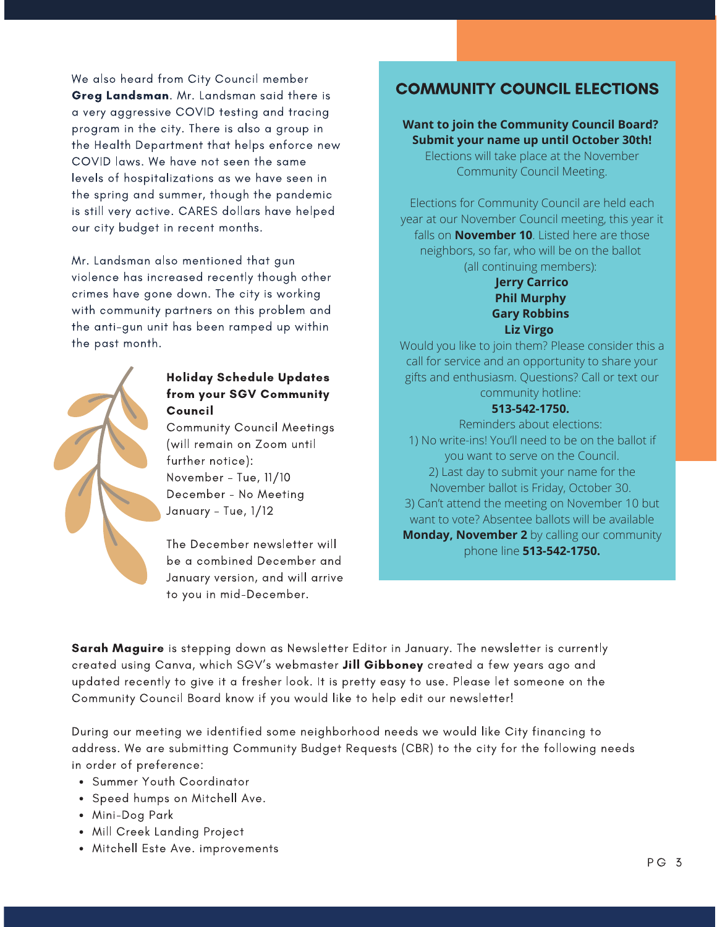We also heard from City Council member Greg Landsman. Mr. Landsman said there is a very aggressive COVID testing and tracing program in the city. There is also a group in the Health Department that helps enforce new COVID laws. We have not seen the same levels of hospitalizations as we have seen in the spring and summer, though the pandemic is still very active. CARES dollars have helped our city budget in recent months.

Mr. Landsman also mentioned that gun violence has increased recently though other crimes have gone down. The city is working with community partners on this problem and the anti-gun unit has been ramped up within the past month.



#### **Holiday Schedule Updates** from your SGV Community Council

**Community Council Meetings** (will remain on Zoom until further notice): November - Tue, 11/10 December - No Meeting January - Tue, 1/12

The December newsletter will be a combined December and January version, and will arrive to you in mid-December.

# **COMMUNITY COUNCIL ELECTIONS**

#### **Want to join the Community Council Board? Submit your name up until October 30th!**

Elections will take place at the November Community Council Meeting.

Elections for Community Council are held each year at our November Council meeting, this year it falls on **November 10**. Listed here are those neighbors, so far, who will be on the ballot (all continuing members):

#### **Jerry Carrico Phil Murphy Gary Robbins Liz Virgo**

Would you like to join them? Please consider this a call for service and an opportunity to share your gifts and enthusiasm. Questions? Call or text our community hotline:

#### **513-542-1750.**

Reminders about elections: 1) No write-ins! You'll need to be on the ballot if you want to serve on the Council. 2) Last day to submit your name for the November ballot is Friday, October 30. 3) Can't attend the meeting on November 10 but want to vote? Absentee ballots will be available **Monday, November 2** by calling our community phone line **513-542-1750.**

**Sarah Maguire** is stepping down as Newsletter Editor in January. The newsletter is currently created using Canva, which SGV's webmaster Jill Gibboney created a few years ago and updated recently to give it a fresher look. It is pretty easy to use. Please let someone on the Community Council Board know if you would like to help edit our newsletter!

During our meeting we identified some neighborhood needs we would like City financing to address. We are submitting Community Budget Requests (CBR) to the city for the following needs in order of preference:

- Summer Youth Coordinator
- Speed humps on Mitchell Ave.
- Mini-Dog Park
- Mill Creek Landing Project
- Mitchell Este Ave. improvements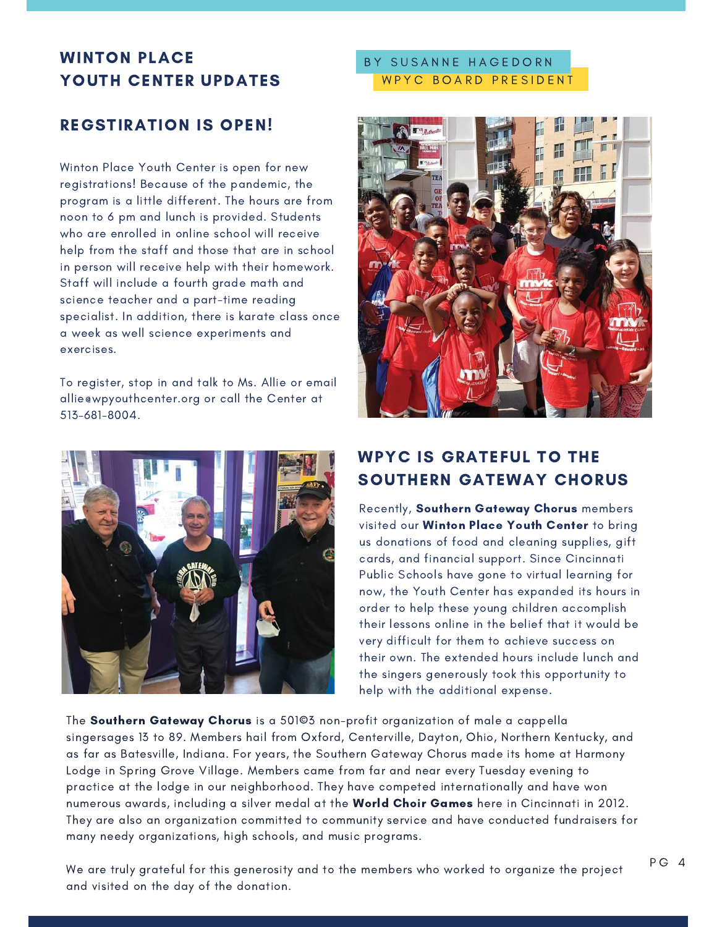# **WINTON PLACE** YOUTH CENTER UPDATES

# **REGSTIRATION IS OPEN!**

Winton Place Youth Center is open for new registrations! Because of the pandemic, the program is a little different. The hours are from noon to 6 pm and lunch is provided. Students who are enrolled in online school will receive help from the staff and those that are in school in person will receive help with their homework. Staff will include a fourth grade math and science teacher and a part-time reading specialist. In addition, there is karate class once a week as well science experiments and exercises.

To register, stop in and talk to Ms. Allie or email allie@wpyouthcenter.org or call the Center at 513-681-8004.



#### BY SUSANNE HAGEDORN WPYC BOARD PRESIDENT



# **WPYC IS GRATEFUL TO THE SOUTHERN GATEWAY CHORUS**

Recently, Southern Gateway Chorus members visited our Winton Place Youth Center to bring us donations of food and cleaning supplies, gift cards, and financial support. Since Cincinnati Public Schools have gone to virtual learning for now, the Youth Center has expanded its hours in order to help these young children accomplish their lessons online in the belief that it would be very difficult for them to achieve success on their own. The extended hours include lunch and the singers generously took this opportunity to help with the additional expense.

The Southern Gateway Chorus is a 50103 non-profit organization of male a cappella singersages 13 to 89. Members hail from Oxford, Centerville, Dayton, Ohio, Northern Kentucky, and as far as Batesville, Indiana. For years, the Southern Gateway Chorus made its home at Harmony Lodge in Spring Grove Village. Members came from far and near every Tuesday evening to practice at the lodge in our neighborhood. They have competed internationally and have won numerous awards, including a silver medal at the World Choir Games here in Cincinnati in 2012. They are also an organization committed to community service and have conducted fundraisers for many needy organizations, high schools, and music programs.

We are truly grateful for this generosity and to the members who worked to organize the project and visited on the day of the donation.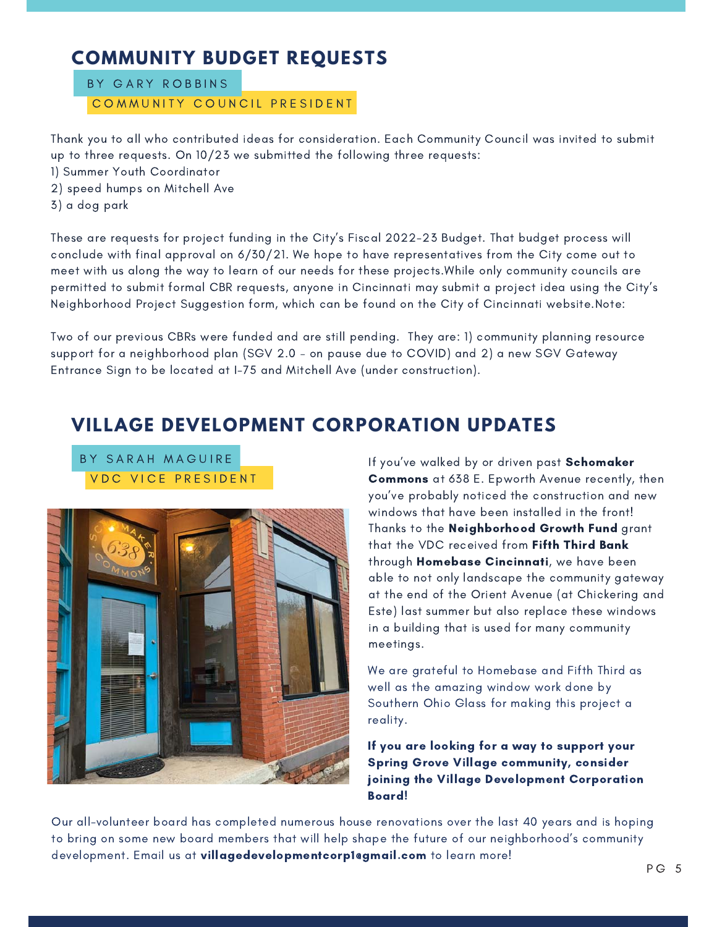# **COMMUNITY BUDGET REQUESTS**

BY GARY ROBBINS COMMUNITY COUNCIL PRESIDENT

Thank you to all who contributed ideas for consideration. Each Community Council was invited to submit up to three requests. On 10/23 we submitted the following three requests:

- 1) Summer Youth Coordinator
- 2) speed humps on Mitchell Ave
- 3) a dog park

These are requests for project funding in the City's Fiscal 2022-23 Budget. That budget process will conclude with final approval on 6/30/21. We hope to have representatives from the City come out to meet with us along the way to learn of our needs for these projects. While only community councils are permitted to submit formal CBR requests, anyone in Cincinnati may submit a project idea using the City's Neighborhood Project Suggestion form, which can be found on the City of Cincinnati website. Note:

Two of our previous CBRs were funded and are still pending. They are: 1) community planning resource support for a neighborhood plan (SGV 2.0 - on pause due to COVID) and 2) a new SGV Gateway Entrance Sign to be located at I-75 and Mitchell Ave (under construction).

# **VILLAGE DEVELOPMENT CORPORATION UPDATES**

BY SARAH MAGUIRE **VDC VICE PRESIDENT** 



If you've walked by or driven past Schomaker **Commons** at 638 E. Epworth Avenue recently, then you've probably noticed the construction and new windows that have been installed in the front! Thanks to the Neighborhood Growth Fund grant that the VDC received from Fifth Third Bank through Homebase Cincinnati, we have been able to not only landscape the community gateway at the end of the Orient Avenue (at Chickering and Este) last summer but also replace these windows in a building that is used for many community meetings.

We are grateful to Homebase and Fifth Third as well as the amazing window work done by Southern Ohio Glass for making this project a reality.

If you are looking for a way to support your **Spring Grove Village community, consider** joining the Village Development Corporation **Board!** 

Our all-volunteer board has completed numerous house renovations over the last 40 years and is hoping to bring on some new board members that will help shape the future of our neighborhood's community development. Email us at villagedevelopmentcorplegmail.com to learn more!